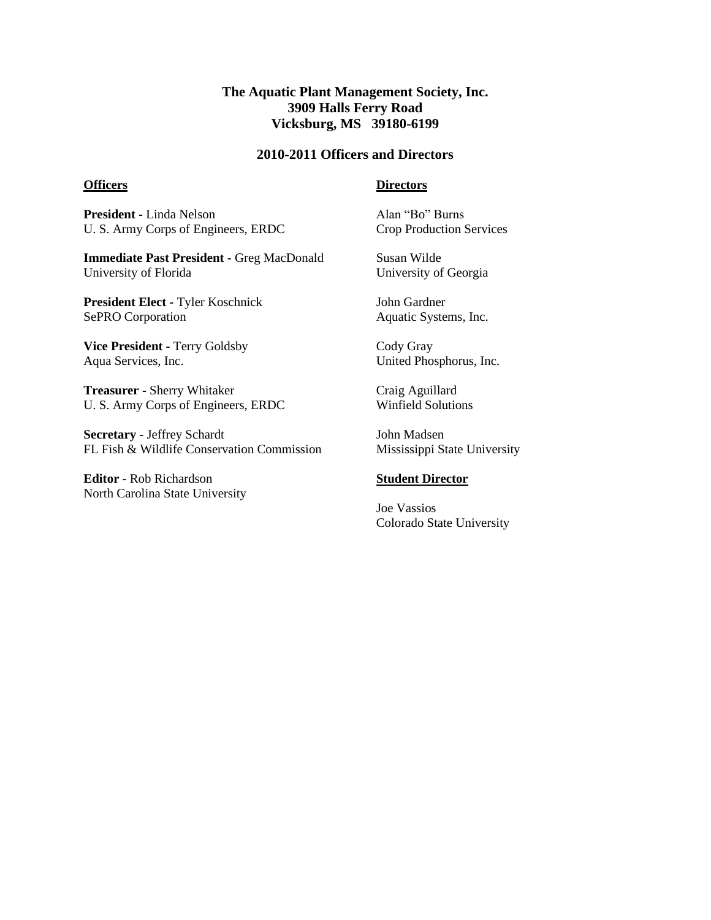# **The Aquatic Plant Management Society, Inc. 3909 Halls Ferry Road Vicksburg, MS 39180-6199**

## **2010-2011 Officers and Directors**

#### **Officers**

### **Directors**

**President -** Linda Nelson U. S. Army Corps of Engineers, ERDC

**Immediate Past President -** Greg MacDonald University of Florida

**President Elect -** Tyler Koschnick SePRO Corporation

**Vice President -** Terry Goldsby Aqua Services, Inc.

**Treasurer -** Sherry Whitaker U. S. Army Corps of Engineers, ERDC

**Secretary -** Jeffrey Schardt FL Fish & Wildlife Conservation Commission

**Editor -** Rob Richardson North Carolina State University Alan "Bo" Burns Crop Production Services

Susan Wilde University of Georgia

John Gardner Aquatic Systems, Inc.

Cody Gray United Phosphorus, Inc.

Craig Aguillard Winfield Solutions

John Madsen Mississippi State University

#### **Student Director**

Joe Vassios Colorado State University